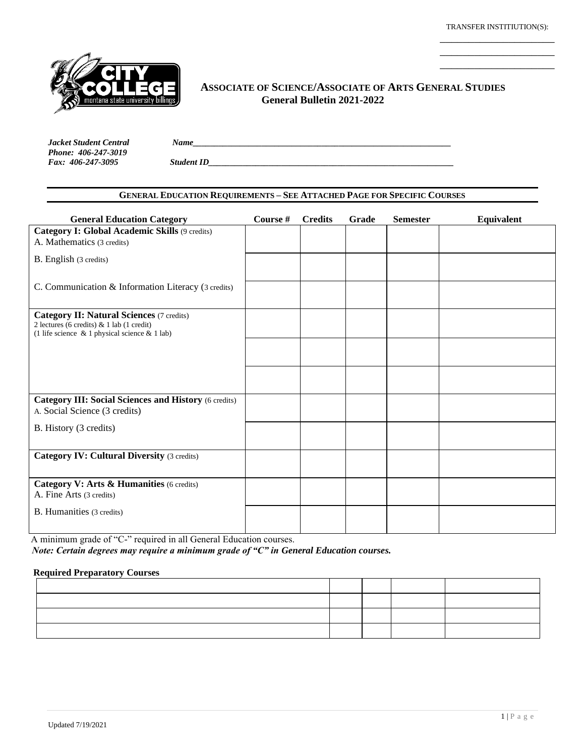\_\_\_\_\_\_\_\_\_\_\_\_\_\_\_\_\_\_\_\_ \_\_\_\_\_\_\_\_\_\_\_\_\_\_\_\_\_\_\_\_



#### **ASSOCIATE OF SCIENCE/ASSOCIATE OF ARTS GENERAL STUDIES General Bulletin 2021-2022**   $\frac{1}{2}$

*Jacket Student Central Name\_\_\_\_\_\_\_\_\_\_\_\_\_\_\_\_\_\_\_\_\_\_\_\_\_\_\_\_\_\_\_\_\_\_\_\_\_\_\_\_\_\_\_\_\_\_\_\_\_\_\_\_\_\_\_\_\_\_\_\_ Phone: 406-247-3019*

*Fax: 406-247-3095 Student ID\_\_\_\_\_\_\_\_\_\_\_\_\_\_\_\_\_\_\_\_\_\_\_\_\_\_\_\_\_\_\_\_\_\_\_\_\_\_\_\_\_\_\_\_\_\_\_\_\_\_\_\_\_\_\_\_\_*

### **GENERAL EDUCATION REQUIREMENTS – SEE ATTACHED PAGE FOR SPECIFIC COURSES**

| <b>General Education Category</b>                                                                                                                    | Course # | <b>Credits</b> | Grade | <b>Semester</b> | <b>Equivalent</b> |
|------------------------------------------------------------------------------------------------------------------------------------------------------|----------|----------------|-------|-----------------|-------------------|
| <b>Category I: Global Academic Skills (9 credits)</b>                                                                                                |          |                |       |                 |                   |
| A. Mathematics (3 credits)                                                                                                                           |          |                |       |                 |                   |
| B. English (3 credits)                                                                                                                               |          |                |       |                 |                   |
|                                                                                                                                                      |          |                |       |                 |                   |
| C. Communication & Information Literacy (3 credits)                                                                                                  |          |                |       |                 |                   |
|                                                                                                                                                      |          |                |       |                 |                   |
| <b>Category II: Natural Sciences (7 credits)</b><br>2 lectures (6 credits) & 1 lab (1 credit)<br>(1 life science $\&$ 1 physical science $\&$ 1 lab) |          |                |       |                 |                   |
|                                                                                                                                                      |          |                |       |                 |                   |
|                                                                                                                                                      |          |                |       |                 |                   |
|                                                                                                                                                      |          |                |       |                 |                   |
|                                                                                                                                                      |          |                |       |                 |                   |
| <b>Category III: Social Sciences and History (6 credits)</b>                                                                                         |          |                |       |                 |                   |
| A. Social Science (3 credits)                                                                                                                        |          |                |       |                 |                   |
| B. History (3 credits)                                                                                                                               |          |                |       |                 |                   |
|                                                                                                                                                      |          |                |       |                 |                   |
| <b>Category IV: Cultural Diversity (3 credits)</b>                                                                                                   |          |                |       |                 |                   |
|                                                                                                                                                      |          |                |       |                 |                   |
| Category V: Arts & Humanities (6 credits)                                                                                                            |          |                |       |                 |                   |
| A. Fine Arts (3 credits)                                                                                                                             |          |                |       |                 |                   |
| B. Humanities (3 credits)                                                                                                                            |          |                |       |                 |                   |
|                                                                                                                                                      |          |                |       |                 |                   |

A minimum grade of "C-" required in all General Education courses. *Note: Certain degrees may require a minimum grade of "C" in General Education courses.*

#### **Required Preparatory Courses**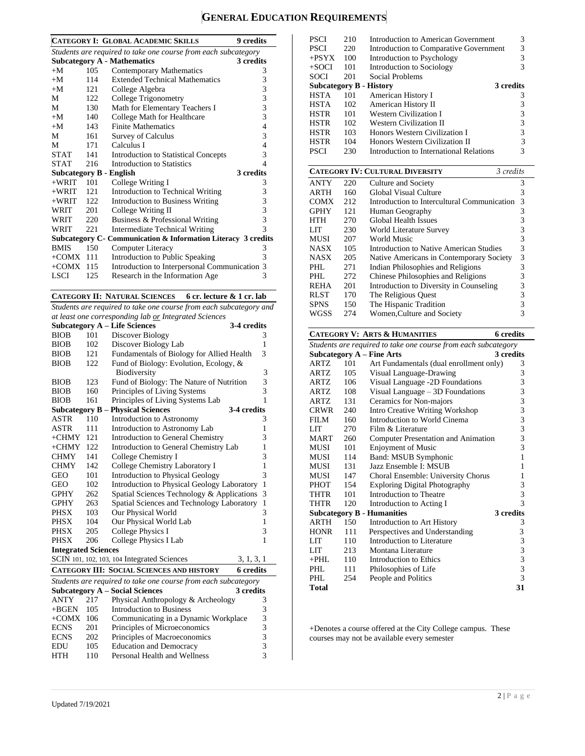## **GENERAL EDUCATION REQUIREMENTS**

|                                                                |     | <b>CATEGORY I: GLOBAL ACADEMIC SKILLS</b><br>9 credits        |   |  |
|----------------------------------------------------------------|-----|---------------------------------------------------------------|---|--|
| Students are required to take one course from each subcategory |     |                                                               |   |  |
|                                                                |     | <b>Subcategory A - Mathematics</b><br>3 credits               |   |  |
| $+M$                                                           | 105 | <b>Contemporary Mathematics</b>                               | 3 |  |
| $+M$                                                           | 114 | <b>Extended Technical Mathematics</b>                         | 3 |  |
| $+M$                                                           | 121 | College Algebra                                               | 3 |  |
| М                                                              | 122 | College Trigonometry                                          | 3 |  |
| М                                                              | 130 | Math for Elementary Teachers I                                | 3 |  |
| $+M$                                                           | 140 | College Math for Healthcare                                   | 3 |  |
| $+M$                                                           | 143 | <b>Finite Mathematics</b>                                     | 4 |  |
| M                                                              | 161 | Survey of Calculus                                            | 3 |  |
| М                                                              | 171 | Calculus I                                                    | 4 |  |
| <b>STAT</b>                                                    | 141 | <b>Introduction to Statistical Concepts</b>                   | 3 |  |
| <b>STAT</b>                                                    | 216 | Introduction to Statistics                                    | 4 |  |
| <b>Subcategory B - English</b>                                 |     | 3 credits                                                     |   |  |
| $+WRIT$                                                        | 101 | College Writing I                                             | 3 |  |
| $+WRIT$                                                        | 121 | Introduction to Technical Writing                             | 3 |  |
| $+WRIT$                                                        | 122 | <b>Introduction to Business Writing</b>                       | 3 |  |
| WRIT                                                           | 201 | College Writing II                                            | 3 |  |
| WRIT                                                           | 220 | Business & Professional Writing                               | 3 |  |
| WRIT                                                           | 221 | <b>Intermediate Technical Writing</b>                         | 3 |  |
|                                                                |     | Subcategory C- Communication & Information Literacy 3 credits |   |  |
| <b>BMIS</b>                                                    | 150 | <b>Computer Literacy</b>                                      | 3 |  |
| $+COMX$ 111                                                    |     | Introduction to Public Speaking                               | 3 |  |
| $+COMX$ 115                                                    |     | Introduction to Interpersonal Communication 3                 |   |  |
| LSCI                                                           | 125 | Research in the Information Age                               | 3 |  |

**CATEGORY II: NATURAL SCIENCES 6 cr. lecture & 1 cr. lab**

*Students are required to take one course from each subcategory and at least one corresponding lab or Integrated Sciences*

|                            |                                                   | a least one corresponding and <u>or</u> integrated sciences    |                  |
|----------------------------|---------------------------------------------------|----------------------------------------------------------------|------------------|
|                            |                                                   | <b>Subcategory A – Life Sciences</b>                           | 3-4 credits      |
| <b>BIOB</b>                | 101                                               | Discover Biology<br>3                                          |                  |
| <b>BIOB</b>                | 102                                               | Discover Biology Lab<br>1                                      |                  |
| <b>BIOB</b>                | 121                                               | Fundamentals of Biology for Allied Health                      | 3                |
| <b>BIOB</b>                | 122                                               | Fund of Biology: Evolution, Ecology, &                         |                  |
|                            |                                                   | Biodiversity                                                   | 3                |
| <b>BIOB</b>                | 123                                               | Fund of Biology: The Nature of Nutrition                       | 3                |
| <b>BIOB</b>                | 160                                               | Principles of Living Systems                                   | 3                |
| <b>BIOB</b>                | 161                                               | Principles of Living Systems Lab                               | $\mathbf{1}$     |
| Subcategory $B -$          |                                                   | <b>Physical Sciences</b>                                       | 3-4 credits      |
| <b>ASTR</b>                | 110                                               | Introduction to Astronomy                                      | 3                |
| <b>ASTR</b>                | 111                                               | Introduction to Astronomy Lab                                  | 1                |
| $+CHMY$                    | 121                                               | Introduction to General Chemistry                              | 3                |
| $+CHMY$                    | 122<br>Introduction to General Chemistry Lab<br>1 |                                                                |                  |
| <b>CHMY</b>                | 141                                               | College Chemistry I<br>3                                       |                  |
| <b>CHMY</b>                | 142                                               | College Chemistry Laboratory I<br>1                            |                  |
| GEO                        | 101                                               | 3<br><b>Introduction to Physical Geology</b>                   |                  |
| GEO                        | 102                                               | Introduction to Physical Geology Laboratory<br>$\mathbf{1}$    |                  |
| <b>GPHY</b>                | 262                                               | Spatial Sciences Technology & Applications<br>3                |                  |
| <b>GPHY</b>                | 263                                               | Spatial Sciences and Technology Laboratory<br>$\mathbf{1}$     |                  |
| <b>PHSX</b>                | 103                                               | 3<br>Our Physical World                                        |                  |
| PHSX                       | 104                                               | Our Physical World Lab                                         | 1                |
| <b>PHSX</b>                | 205                                               | College Physics I                                              | 3                |
| <b>PHSX</b>                | 206                                               | College Physics I Lab                                          | 1                |
| <b>Integrated Sciences</b> |                                                   |                                                                |                  |
|                            |                                                   | SCIN 101, 102, 103, 104 Integrated Sciences                    | 3, 1, 3, 1       |
|                            |                                                   | <b>CATEGORY III: SOCIAL SCIENCES AND HISTORY</b>               | <b>6</b> credits |
|                            |                                                   | Students are required to take one course from each subcategory |                  |
|                            |                                                   | <b>Subcategory A - Social Sciences</b>                         | 3 credits        |
| <b>ANTY</b>                | 217                                               | Physical Anthropology & Archeology                             | 3                |
| $+BGEN$                    | 105                                               | Introduction to Business                                       | 3                |
| $+COMX$ 106                |                                                   | Communicating in a Dynamic Workplace                           | 3                |
| <b>ECNS</b>                | 201                                               | Principles of Microeconomics                                   | 3                |
| <b>ECNS</b>                | 202                                               | Principles of Macroeconomics                                   | 3                |
| <b>EDU</b>                 | 105                                               | <b>Education and Democracy</b>                                 | $\overline{3}$   |
| <b>HTH</b>                 | 3<br>110<br>Personal Health and Wellness          |                                                                |                  |

| <b>PSCI</b>                    | 210 | Introduction to American Government     | 3         |
|--------------------------------|-----|-----------------------------------------|-----------|
| <b>PSCI</b>                    | 220 | Introduction to Comparative Government  | 3         |
| $+$ PSYX                       | 100 | Introduction to Psychology              |           |
| $+$ SOCI                       | 101 | Introduction to Sociology               |           |
| SOCI                           | 201 | Social Problems                         |           |
| <b>Subcategory B - History</b> |     |                                         | 3 credits |
| <b>HSTA</b>                    | 101 | American History I                      | 3         |
| <b>HSTA</b>                    | 102 | American History II                     |           |
| <b>HSTR</b>                    | 101 | <b>Western Civilization I</b>           |           |
| <b>HSTR</b>                    | 102 | <b>Western Civilization II</b>          |           |
| <b>HSTR</b>                    | 103 | Honors Western Civilization I           |           |
| <b>HSTR</b>                    | 104 | Honors Western Civilization II          |           |
| PSCI                           | 230 | Introduction to International Relations |           |

|             |     | <b>CATEGORY IV: CULTURAL DIVERSITY</b><br>3 credits |   |
|-------------|-----|-----------------------------------------------------|---|
| <b>ANTY</b> | 220 | Culture and Society                                 | 3 |
| <b>ARTH</b> | 160 | Global Visual Culture                               | 3 |
| <b>COMX</b> | 212 | Introduction to Intercultural Communication         | 3 |
| <b>GPHY</b> | 121 | Human Geography                                     | 3 |
| HTH         | 270 | Global Health Issues                                | 3 |
| LIT         | 230 | World Literature Survey                             | 3 |
| <b>MUSI</b> | 207 | World Music                                         | 3 |
| <b>NASX</b> | 105 | Introduction to Native American Studies             | 3 |
| <b>NASX</b> | 205 | Native Americans in Contemporary Society            | 3 |
| PHL         | 271 | Indian Philosophies and Religions                   | 3 |
| PHL         | 272 | Chinese Philosophies and Religions                  | 3 |
| <b>REHA</b> | 201 | Introduction to Diversity in Counseling             | 3 |
| <b>RLST</b> | 170 | The Religious Ouest                                 | 3 |
| <b>SPNS</b> | 150 | The Hispanic Tradition                              | 3 |
| WGSS        | 274 | Women, Culture and Society                          | 3 |

## **CATEGORY V: ARTS & HUMANITIES 6 credits**

| Students are required to take one course from each subcategory |     |                                         |           |
|----------------------------------------------------------------|-----|-----------------------------------------|-----------|
|                                                                |     | <b>Subcategory A - Fine Arts</b>        | 3 credits |
| ARTZ                                                           | 101 | Art Fundamentals (dual enrollment only) | 3         |
| ARTZ                                                           | 105 | Visual Language-Drawing                 | 3         |
| <b>ARTZ</b>                                                    | 106 | Visual Language -2D Foundations         | 3         |
| <b>ARTZ</b>                                                    | 108 | Visual Language - 3D Foundations        | 3         |
| <b>ARTZ</b>                                                    | 131 | Ceramics for Non-majors                 | 3         |
| <b>CRWR</b>                                                    | 240 | Intro Creative Writing Workshop         | 3         |
| <b>FILM</b>                                                    | 160 | Introduction to World Cinema            | 3         |
| LIT                                                            | 270 | Film & Literature                       | 3         |
| MART                                                           | 260 | Computer Presentation and Animation     | 3         |
| MUSI                                                           | 101 | <b>Enjoyment of Music</b>               | 3         |
| MUSI                                                           | 114 | Band: MSUB Symphonic                    | 1         |
| <b>MUSI</b>                                                    | 131 | Jazz Ensemble I: MSUB                   | 1         |
| <b>MUSI</b>                                                    | 147 | Choral Ensemble: University Chorus      | 1         |
| PHOT                                                           | 154 | <b>Exploring Digital Photography</b>    | 3         |
| <b>THTR</b>                                                    | 101 | Introduction to Theatre                 | 3         |
| <b>THTR</b>                                                    | 120 | Introduction to Acting I                | 3         |
|                                                                |     | <b>Subcategory B - Humanities</b>       | 3 credits |
| <b>ARTH</b>                                                    | 150 | Introduction to Art History             | 3         |
| <b>HONR</b>                                                    | 111 | Perspectives and Understanding          | 3         |
| <b>LIT</b>                                                     | 110 | Introduction to Literature              | 3         |
| LIT                                                            | 213 | Montana Literature                      | 3         |
| $+PHL$                                                         | 110 | Introduction to Ethics                  | 3         |
| PHI.                                                           | 111 | Philosophies of Life                    | 3         |
| PHI.                                                           | 254 | People and Politics                     | 3         |
| <b>Total</b>                                                   |     |                                         | 31        |

+Denotes a course offered at the City College campus. These courses may not be available every semester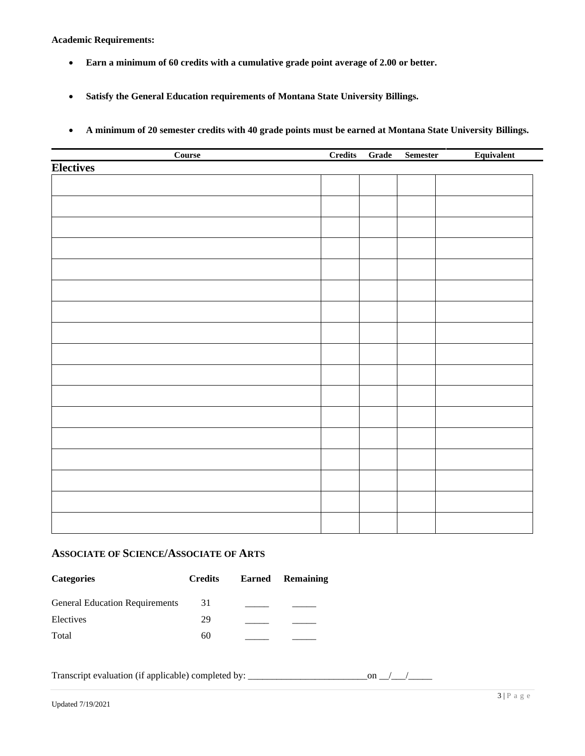**Academic Requirements:**

- **Earn a minimum of 60 credits with a cumulative grade point average of 2.00 or better.**
- **Satisfy the General Education requirements of Montana State University Billings.**
- **A minimum of 20 semester credits with 40 grade points must be earned at Montana State University Billings.**

| Course           | Credits | Grade | <b>Semester</b> | Equivalent |
|------------------|---------|-------|-----------------|------------|
| <b>Electives</b> |         |       |                 |            |
|                  |         |       |                 |            |
|                  |         |       |                 |            |
|                  |         |       |                 |            |
|                  |         |       |                 |            |
|                  |         |       |                 |            |
|                  |         |       |                 |            |
|                  |         |       |                 |            |
|                  |         |       |                 |            |
|                  |         |       |                 |            |
|                  |         |       |                 |            |
|                  |         |       |                 |            |
|                  |         |       |                 |            |
|                  |         |       |                 |            |
|                  |         |       |                 |            |
|                  |         |       |                 |            |
|                  |         |       |                 |            |
|                  |         |       |                 |            |
|                  |         |       |                 |            |
|                  |         |       |                 |            |
|                  |         |       |                 |            |
|                  |         |       |                 |            |
|                  |         |       |                 |            |
|                  |         |       |                 |            |
|                  |         |       |                 |            |
|                  |         |       |                 |            |
|                  |         |       |                 |            |

## **ASSOCIATE OF SCIENCE/ASSOCIATE OF ARTS**

| <b>Categories</b>                     | <b>Credits</b> | Earned Remaining |
|---------------------------------------|----------------|------------------|
| <b>General Education Requirements</b> | 31             |                  |
| Electives                             | 29             |                  |
| Total                                 | 60             |                  |

Transcript evaluation (if applicable) completed by: \_\_\_\_\_\_\_\_\_\_\_\_\_\_\_\_\_\_\_\_\_\_\_\_\_on \_\_/\_\_\_/\_\_\_\_\_

 $3 \mid P$ a g e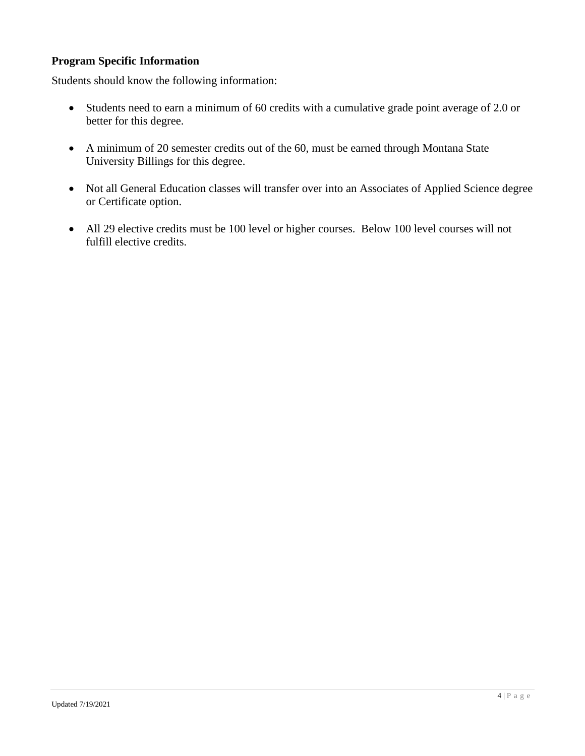## **Program Specific Information**

Students should know the following information:

- Students need to earn a minimum of 60 credits with a cumulative grade point average of 2.0 or better for this degree.
- A minimum of 20 semester credits out of the 60, must be earned through Montana State University Billings for this degree.
- Not all General Education classes will transfer over into an Associates of Applied Science degree or Certificate option.
- All 29 elective credits must be 100 level or higher courses. Below 100 level courses will not fulfill elective credits.